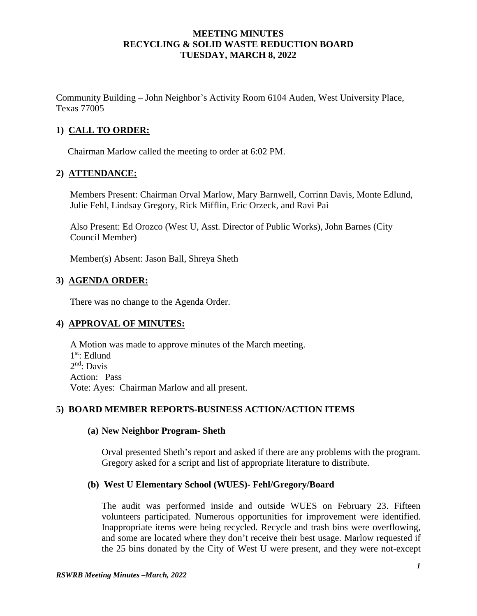Community Building – John Neighbor's Activity Room 6104 Auden, West University Place, Texas 77005

## **1) CALL TO ORDER:**

Chairman Marlow called the meeting to order at 6:02 PM.

## **2) ATTENDANCE:**

Members Present: Chairman Orval Marlow, Mary Barnwell, Corrinn Davis, Monte Edlund, Julie Fehl, Lindsay Gregory, Rick Mifflin, Eric Orzeck, and Ravi Pai

Also Present: Ed Orozco (West U, Asst. Director of Public Works), John Barnes (City Council Member)

Member(s) Absent: Jason Ball, Shreya Sheth

## **3) AGENDA ORDER:**

There was no change to the Agenda Order.

## **4) APPROVAL OF MINUTES:**

A Motion was made to approve minutes of the March meeting. 1 st: Edlund 2<sup>nd</sup>: Davis Action: Pass Vote: Ayes: Chairman Marlow and all present.

## **5) BOARD MEMBER REPORTS-BUSINESS ACTION/ACTION ITEMS**

#### **(a) New Neighbor Program- Sheth**

Orval presented Sheth's report and asked if there are any problems with the program. Gregory asked for a script and list of appropriate literature to distribute.

## **(b) West U Elementary School (WUES)- Fehl/Gregory/Board**

The audit was performed inside and outside WUES on February 23. Fifteen volunteers participated. Numerous opportunities for improvement were identified. Inappropriate items were being recycled. Recycle and trash bins were overflowing, and some are located where they don't receive their best usage. Marlow requested if the 25 bins donated by the City of West U were present, and they were not-except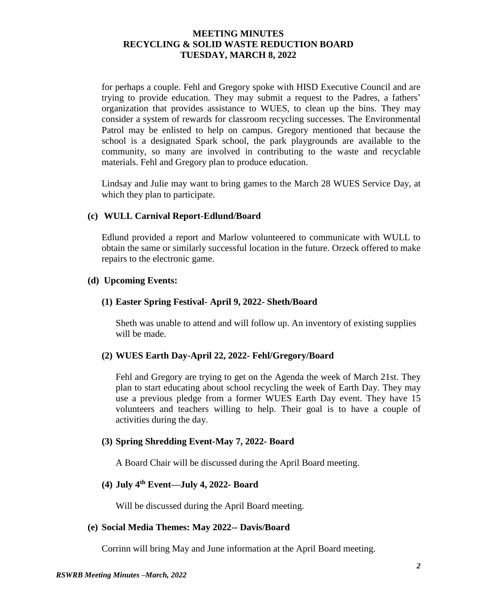for perhaps a couple. Fehl and Gregory spoke with HISD Executive Council and are trying to provide education. They may submit a request to the Padres, a fathers' organization that provides assistance to WUES, to clean up the bins. They may consider a system of rewards for classroom recycling successes. The Environmental Patrol may be enlisted to help on campus. Gregory mentioned that because the school is a designated Spark school, the park playgrounds are available to the community, so many are involved in contributing to the waste and recyclable materials. Fehl and Gregory plan to produce education.

Lindsay and Julie may want to bring games to the March 28 WUES Service Day, at which they plan to participate.

### **(c) WULL Carnival Report-Edlund/Board**

Edlund provided a report and Marlow volunteered to communicate with WULL to obtain the same or similarly successful location in the future. Orzeck offered to make repairs to the electronic game.

#### **(d) Upcoming Events:**

#### **(1) Easter Spring Festival- April 9, 2022- Sheth/Board**

Sheth was unable to attend and will follow up. An inventory of existing supplies will be made.

#### **(2) WUES Earth Day-April 22, 2022- Fehl/Gregory/Board**

Fehl and Gregory are trying to get on the Agenda the week of March 21st. They plan to start educating about school recycling the week of Earth Day. They may use a previous pledge from a former WUES Earth Day event. They have 15 volunteers and teachers willing to help. Their goal is to have a couple of activities during the day.

#### **(3) Spring Shredding Event-May 7, 2022- Board**

A Board Chair will be discussed during the April Board meeting.

## **(4) July 4th Event—July 4, 2022- Board**

Will be discussed during the April Board meeting.

#### **(e) Social Media Themes: May 2022-- Davis/Board**

Corrinn will bring May and June information at the April Board meeting.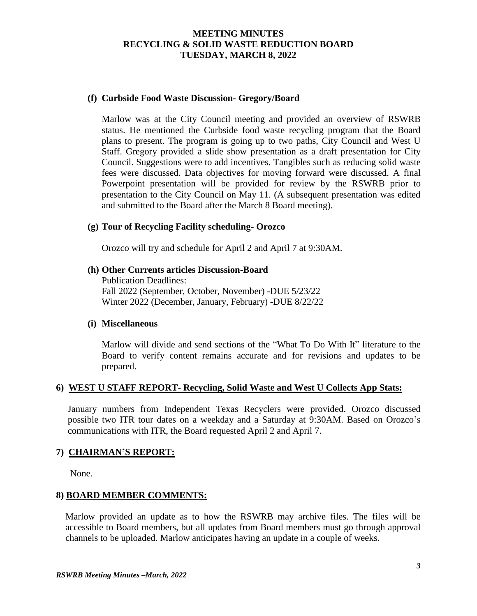#### **(f) Curbside Food Waste Discussion- Gregory/Board**

Marlow was at the City Council meeting and provided an overview of RSWRB status. He mentioned the Curbside food waste recycling program that the Board plans to present. The program is going up to two paths, City Council and West U Staff. Gregory provided a slide show presentation as a draft presentation for City Council. Suggestions were to add incentives. Tangibles such as reducing solid waste fees were discussed. Data objectives for moving forward were discussed. A final Powerpoint presentation will be provided for review by the RSWRB prior to presentation to the City Council on May 11. (A subsequent presentation was edited and submitted to the Board after the March 8 Board meeting).

### **(g) Tour of Recycling Facility scheduling- Orozco**

Orozco will try and schedule for April 2 and April 7 at 9:30AM.

### **(h) Other Currents articles Discussion-Board**

Publication Deadlines: Fall 2022 (September, October, November) -DUE 5/23/22 Winter 2022 (December, January, February) -DUE 8/22/22

#### **(i) Miscellaneous**

Marlow will divide and send sections of the "What To Do With It" literature to the Board to verify content remains accurate and for revisions and updates to be prepared.

#### **6) WEST U STAFF REPORT- Recycling, Solid Waste and West U Collects App Stats:**

January numbers from Independent Texas Recyclers were provided. Orozco discussed possible two ITR tour dates on a weekday and a Saturday at 9:30AM. Based on Orozco's communications with ITR, the Board requested April 2 and April 7.

#### **7) CHAIRMAN'S REPORT:**

None.

#### **8) BOARD MEMBER COMMENTS:**

Marlow provided an update as to how the RSWRB may archive files. The files will be accessible to Board members, but all updates from Board members must go through approval channels to be uploaded. Marlow anticipates having an update in a couple of weeks.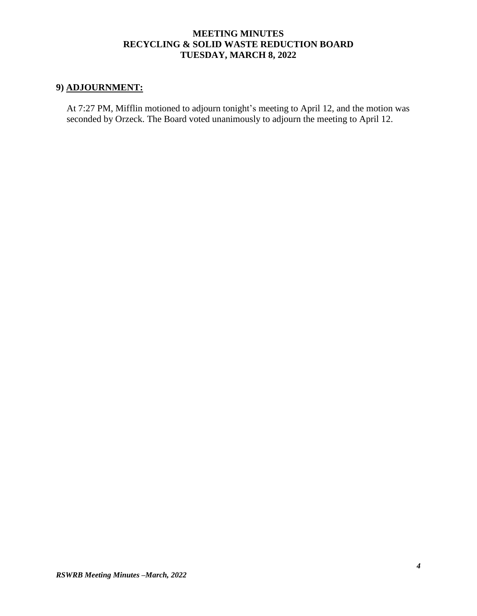# **9) ADJOURNMENT:**

At 7:27 PM, Mifflin motioned to adjourn tonight's meeting to April 12, and the motion was seconded by Orzeck. The Board voted unanimously to adjourn the meeting to April 12.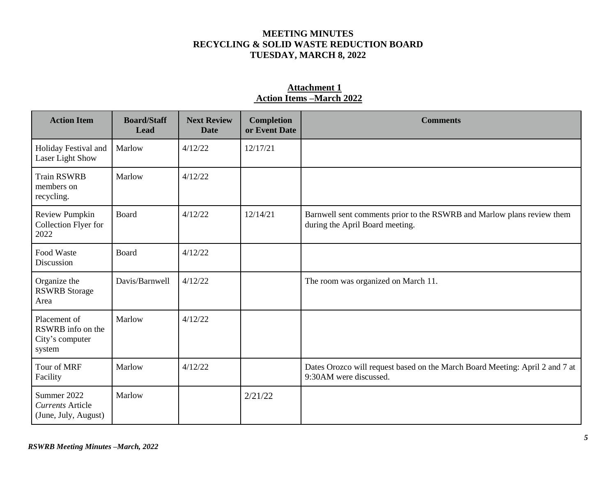### **Attachment 1 Action Items –March 2022**

| <b>Action Item</b>                                             | <b>Board/Staff</b><br>Lead | <b>Next Review</b><br><b>Date</b> | <b>Completion</b><br>or Event Date | <b>Comments</b>                                                                                           |
|----------------------------------------------------------------|----------------------------|-----------------------------------|------------------------------------|-----------------------------------------------------------------------------------------------------------|
| Holiday Festival and<br><b>Laser Light Show</b>                | Marlow                     | 4/12/22                           | 12/17/21                           |                                                                                                           |
| <b>Train RSWRB</b><br>members on<br>recycling.                 | Marlow                     | 4/12/22                           |                                    |                                                                                                           |
| Review Pumpkin<br>Collection Flyer for<br>2022                 | Board                      | 4/12/22                           | 12/14/21                           | Barnwell sent comments prior to the RSWRB and Marlow plans review them<br>during the April Board meeting. |
| Food Waste<br>Discussion                                       | Board                      | 4/12/22                           |                                    |                                                                                                           |
| Organize the<br><b>RSWRB</b> Storage<br>Area                   | Davis/Barnwell             | 4/12/22                           |                                    | The room was organized on March 11.                                                                       |
| Placement of<br>RSWRB info on the<br>City's computer<br>system | Marlow                     | 4/12/22                           |                                    |                                                                                                           |
| Tour of MRF<br>Facility                                        | Marlow                     | 4/12/22                           |                                    | Dates Orozco will request based on the March Board Meeting: April 2 and 7 at<br>9:30AM were discussed.    |
| Summer 2022<br><b>Currents Article</b><br>(June, July, August) | Marlow                     |                                   | 2/21/22                            |                                                                                                           |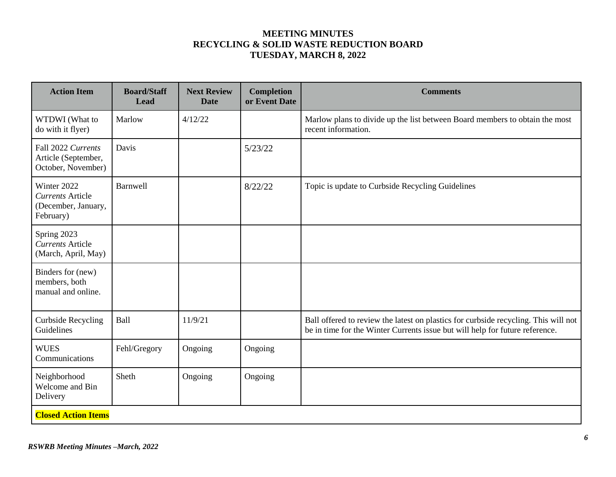| <b>Action Item</b>                                                         | <b>Board/Staff</b><br><b>Lead</b> | <b>Next Review</b><br><b>Date</b> | <b>Completion</b><br>or Event Date | <b>Comments</b>                                                                                                                                                     |
|----------------------------------------------------------------------------|-----------------------------------|-----------------------------------|------------------------------------|---------------------------------------------------------------------------------------------------------------------------------------------------------------------|
| WTDWI (What to<br>do with it flyer)                                        | Marlow                            | 4/12/22                           |                                    | Marlow plans to divide up the list between Board members to obtain the most<br>recent information.                                                                  |
| Fall 2022 Currents<br>Article (September,<br>October, November)            | Davis                             |                                   | 5/23/22                            |                                                                                                                                                                     |
| Winter 2022<br><b>Currents Article</b><br>(December, January,<br>February) | <b>Barnwell</b>                   |                                   | 8/22/22                            | Topic is update to Curbside Recycling Guidelines                                                                                                                    |
| Spring 2023<br><b>Currents Article</b><br>(March, April, May)              |                                   |                                   |                                    |                                                                                                                                                                     |
| Binders for (new)<br>members, both<br>manual and online.                   |                                   |                                   |                                    |                                                                                                                                                                     |
| <b>Curbside Recycling</b><br>Guidelines                                    | <b>Ball</b>                       | 11/9/21                           |                                    | Ball offered to review the latest on plastics for curbside recycling. This will not<br>be in time for the Winter Currents issue but will help for future reference. |
| <b>WUES</b><br>Communications                                              | Fehl/Gregory                      | Ongoing                           | Ongoing                            |                                                                                                                                                                     |
| Neighborhood<br>Welcome and Bin<br>Delivery                                | Sheth                             | Ongoing                           | Ongoing                            |                                                                                                                                                                     |
| <b>Closed Action Items</b>                                                 |                                   |                                   |                                    |                                                                                                                                                                     |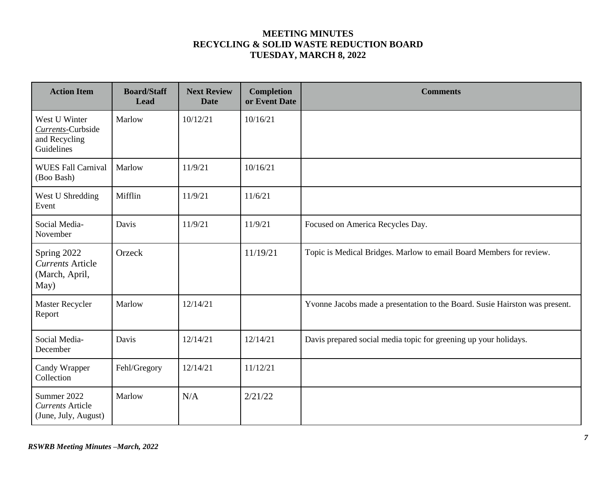| <b>Action Item</b>                                                | <b>Board/Staff</b><br>Lead | <b>Next Review</b><br><b>Date</b> | <b>Completion</b><br>or Event Date | <b>Comments</b>                                                             |
|-------------------------------------------------------------------|----------------------------|-----------------------------------|------------------------------------|-----------------------------------------------------------------------------|
| West U Winter<br>Currents-Curbside<br>and Recycling<br>Guidelines | Marlow                     | 10/12/21                          | 10/16/21                           |                                                                             |
| <b>WUES Fall Carnival</b><br>(Boo Bash)                           | Marlow                     | 11/9/21                           | 10/16/21                           |                                                                             |
| West U Shredding<br>Event                                         | Mifflin                    | 11/9/21                           | 11/6/21                            |                                                                             |
| Social Media-<br>November                                         | Davis                      | 11/9/21                           | 11/9/21                            | Focused on America Recycles Day.                                            |
| Spring 2022<br><b>Currents Article</b><br>(March, April,<br>May)  | Orzeck                     |                                   | 11/19/21                           | Topic is Medical Bridges. Marlow to email Board Members for review.         |
| Master Recycler<br>Report                                         | Marlow                     | 12/14/21                          |                                    | Yvonne Jacobs made a presentation to the Board. Susie Hairston was present. |
| Social Media-<br>December                                         | Davis                      | 12/14/21                          | 12/14/21                           | Davis prepared social media topic for greening up your holidays.            |
| Candy Wrapper<br>Collection                                       | Fehl/Gregory               | 12/14/21                          | 11/12/21                           |                                                                             |
| Summer 2022<br><b>Currents Article</b><br>(June, July, August)    | Marlow                     | N/A                               | 2/21/22                            |                                                                             |